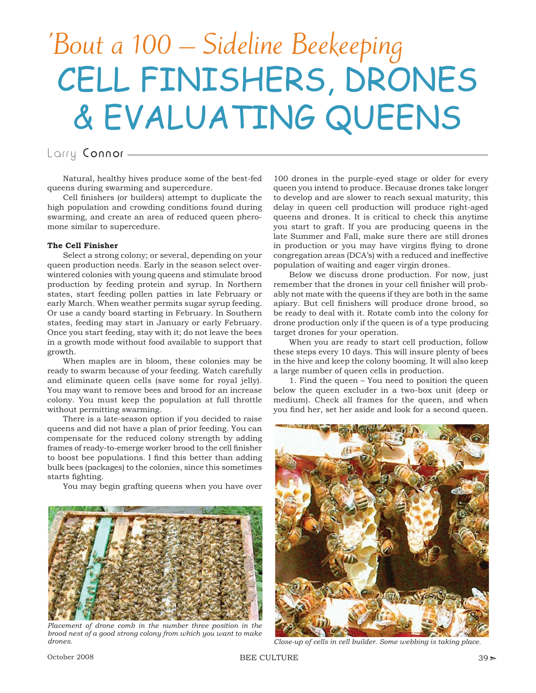# 'Bout a 100 – Sideline Beekeeping CELL FINISHERS, DRONES & EVALUATING QUEENS

## Larry Connor -

Natural, healthy hives produce some of the best-fed queens during swarming and supercedure.

Cell finishers (or builders) attempt to duplicate the high population and crowding conditions found during swarming, and create an area of reduced queen pheromone similar to supercedure.

### **The Cell Finisher**

Select a strong colony; or several, depending on your queen production needs. Early in the season select overwintered colonies with young queens and stimulate brood production by feeding protein and syrup. In Northern states, start feeding pollen patties in late February or early March. When weather permits sugar syrup feeding. Or use a candy board starting in February. In Southern states, feeding may start in January or early February. Once you start feeding, stay with it; do not leave the bees in a growth mode without food available to support that growth.

When maples are in bloom, these colonies may be ready to swarm because of your feeding. Watch carefully and eliminate queen cells (save some for royal jelly). You may want to remove bees and brood for an increase colony. You must keep the population at full throttle without permitting swarming.

There is a late-season option if you decided to raise queens and did not have a plan of prior feeding. You can compensate for the reduced colony strength by adding frames of ready-to-emerge worker brood to the cell finisher to boost bee populations. I find this better than adding bulk bees (packages) to the colonies, since this sometimes starts fighting.

You may begin grafting queens when you have over



*Placement of drone comb in the number three position in the brood nest of a good strong colony from which you want to make drones. Close-up of cells in cell builder. Some webbing is taking place.*

100 drones in the purple-eyed stage or older for every queen you intend to produce. Because drones take longer to develop and are slower to reach sexual maturity, this delay in queen cell production will produce right-aged queens and drones. It is critical to check this anytime you start to graft. If you are producing queens in the late Summer and Fall, make sure there are still drones in production or you may have virgins flying to drone congregation areas (DCA's) with a reduced and ineffective population of waiting and eager virgin drones.

Below we discuss drone production. For now, just remember that the drones in your cell finisher will probably not mate with the queens if they are both in the same apiary. But cell finishers will produce drone brood, so be ready to deal with it. Rotate comb into the colony for drone production only if the queen is of a type producing target drones for your operation.

When you are ready to start cell production, follow these steps every 10 days. This will insure plenty of bees in the hive and keep the colony booming. It will also keep a large number of queen cells in production.

1. Find the queen – You need to position the queen below the queen excluder in a two-box unit (deep or medium). Check all frames for the queen, and when you find her, set her aside and look for a second queen.

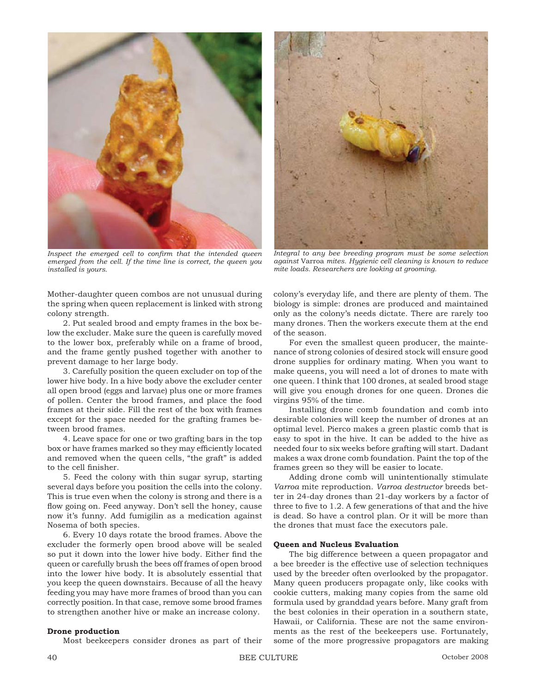

Inspect the emerged cell to confirm that the intended queen *emerged from the cell. If the time line is correct, the queen you installed is yours.*

Mother-daughter queen combos are not unusual during the spring when queen replacement is linked with strong colony strength.

2. Put sealed brood and empty frames in the box below the excluder. Make sure the queen is carefully moved to the lower box, preferably while on a frame of brood, and the frame gently pushed together with another to prevent damage to her large body.

3. Carefully position the queen excluder on top of the lower hive body. In a hive body above the excluder center all open brood (eggs and larvae) plus one or more frames of pollen. Center the brood frames, and place the food frames at their side. Fill the rest of the box with frames except for the space needed for the grafting frames between brood frames.

4. Leave space for one or two grafting bars in the top box or have frames marked so they may efficiently located and removed when the queen cells, "the graft" is added to the cell finisher.

5. Feed the colony with thin sugar syrup, starting several days before you position the cells into the colony. This is true even when the colony is strong and there is a flow going on. Feed anyway. Don't sell the honey, cause now it's funny. Add fumigilin as a medication against Nosema of both species.

6. Every 10 days rotate the brood frames. Above the excluder the formerly open brood above will be sealed so put it down into the lower hive body. Either find the queen or carefully brush the bees off frames of open brood into the lower hive body. It is absolutely essential that you keep the queen downstairs. Because of all the heavy feeding you may have more frames of brood than you can correctly position. In that case, remove some brood frames to strengthen another hive or make an increase colony.

#### **Drone production**

Most beekeepers consider drones as part of their



*Integral to any bee breeding program must be some selection against* Varroa *mites. Hygienic cell cleaning is known to reduce mite loads. Researchers are looking at grooming.*

colony's everyday life, and there are plenty of them. The biology is simple: drones are produced and maintained only as the colony's needs dictate. There are rarely too many drones. Then the workers execute them at the end of the season.

For even the smallest queen producer, the maintenance of strong colonies of desired stock will ensure good drone supplies for ordinary mating. When you want to make queens, you will need a lot of drones to mate with one queen. I think that 100 drones, at sealed brood stage will give you enough drones for one queen. Drones die virgins 95% of the time.

Installing drone comb foundation and comb into desirable colonies will keep the number of drones at an optimal level. Pierco makes a green plastic comb that is easy to spot in the hive. It can be added to the hive as needed four to six weeks before grafting will start. Dadant makes a wax drone comb foundation. Paint the top of the frames green so they will be easier to locate.

Adding drone comb will unintentionally stimulate *Varroa* mite reproduction. *Varroa destructor* breeds better in 24-day drones than 21-day workers by a factor of three to five to  $1.2$ . A few generations of that and the hive is dead. So have a control plan. Or it will be more than the drones that must face the executors pale.

#### **Queen and Nucleus Evaluation**

The big difference between a queen propagator and a bee breeder is the effective use of selection techniques used by the breeder often overlooked by the propagator. Many queen producers propagate only, like cooks with cookie cutters, making many copies from the same old formula used by granddad years before. Many graft from the best colonies in their operation in a southern state, Hawaii, or California. These are not the same environments as the rest of the beekeepers use. Fortunately, some of the more progressive propagators are making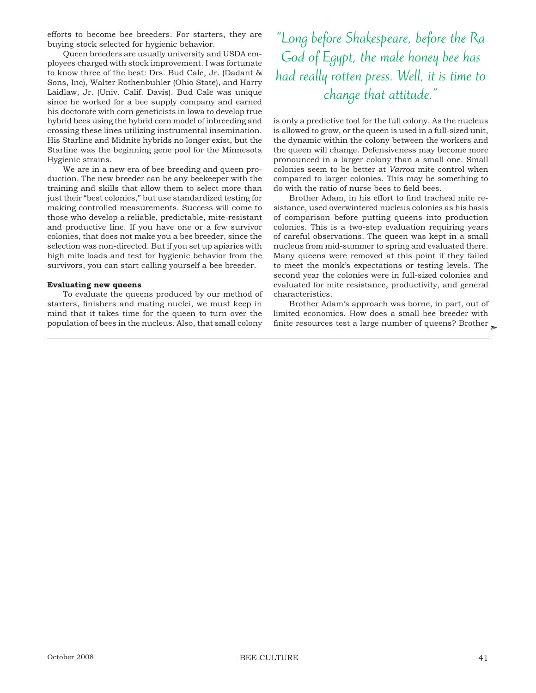efforts to become bee breeders. For starters, they are buying stock selected for hygienic behavior.

Queen breeders are usually university and USDA employees charged with stock improvement. I was fortunate to know three of the best: Drs. Bud Cale, Jr. (Dadant & Sons, Inc), Walter Rothenbuhler (Ohio State), and Harry Laidlaw, Jr. (Univ. Calif. Davis). Bud Cale was unique since he worked for a bee supply company and earned his doctorate with corn geneticists in Iowa to develop true hybrid bees using the hybrid corn model of inbreeding and crossing these lines utilizing instrumental insemination. His Starline and Midnite hybrids no longer exist, but the Starline was the beginning gene pool for the Minnesota Hygienic strains.

We are in a new era of bee breeding and queen production. The new breeder can be any beekeeper with the training and skills that allow them to select more than just their "best colonies," but use standardized testing for making controlled measurements. Success will come to those who develop a reliable, predictable, mite-resistant and productive line. If you have one or a few survivor colonies, that does not make you a bee breeder, since the selection was non-directed. But if you set up apiaries with high mite loads and test for hygienic behavior from the survivors, you can start calling yourself a bee breeder.

#### **Evaluating new queens**

To evaluate the queens produced by our method of starters, finishers and mating nuclei, we must keep in mind that it takes time for the queen to turn over the population of bees in the nucleus. Also, that small colony

"Long before Shakespeare, before the Ra God of Egypt, the male honey bee has had really rotten press. Well, it is time to change that attitude."

is only a predictive tool for the full colony. As the nucleus is allowed to grow, or the queen is used in a full-sized unit, the dynamic within the colony between the workers and the queen will change. Defensiveness may become more pronounced in a larger colony than a small one. Small colonies seem to be better at *Varroa* mite control when compared to larger colonies. This may be something to do with the ratio of nurse bees to field bees.

Brother Adam, in his effort to find tracheal mite resistance, used overwintered nucleus colonies as his basis of comparison before putting queens into production colonies. This is a two-step evaluation requiring years of careful observations. The queen was kept in a small nucleus from mid-summer to spring and evaluated there. Many queens were removed at this point if they failed to meet the monk's expectations or testing levels. The second year the colonies were in full-sized colonies and evaluated for mite resistance, productivity, and general characteristics.

finite resources test a large number of queens? Brother  $\mathcal{\succcurlyeq}$ Brother Adam's approach was borne, in part, out of limited economics. How does a small bee breeder with